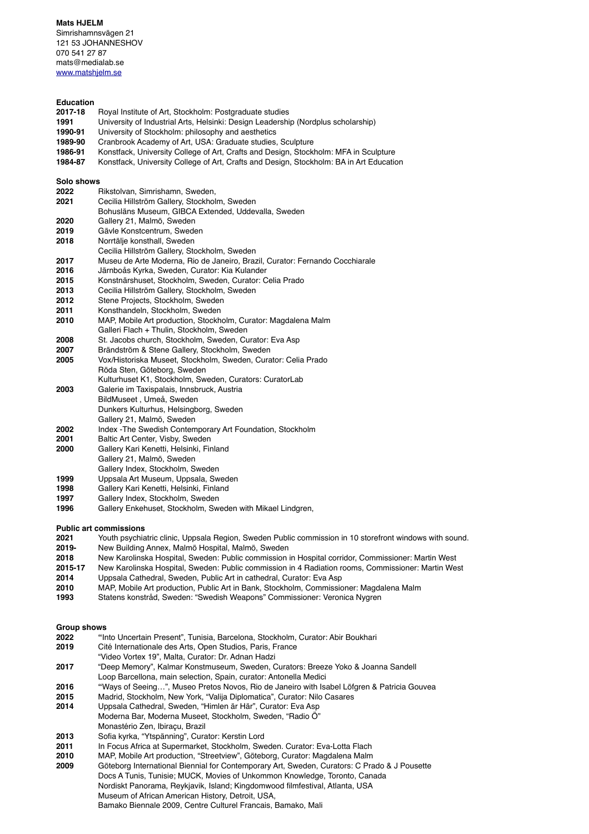**Mats HJFLM** 

Simrishamnsvägen 21 121 53 JOHANNESHOV 070 541 27 87 mats@medialab.se [www.matshjelm.se](http://www.matshjelm.se)

# **Education**

- **2017-18** Royal Institute of Art, Stockholm: Postgraduate studies
- **1991** University of Industrial Arts, Helsinki: Design Leadership (Nordplus scholarship)
- **1990-91** University of Stockholm: philosophy and aesthetics
- **1989-90** Cranbrook Academy of Art, USA: Graduate studies, Sculpture
- **1986-91** Konstfack, University College of Art, Crafts and Design, Stockholm: MFA in Sculpture
- **1984-87** Konstfack, University College of Art, Crafts and Design, Stockholm: BA in Art Education

## **Solo shows**

- **2022** Rikstolvan, Simrishamn, Sweden,
- **2021** Cecilia Hillström Gallery, Stockholm, Sweden
- Bohusläns Museum, GIBCA Extended, Uddevalla, Sweden
- **2020** Gallery 21, Malmö, Sweden
- **2019** Gävle Konstcentrum, Sweden
- **2018** Norrtälje konsthall, Sweden
- Cecilia Hillström Gallery, Stockholm, Sweden
- **2017** Museu de Arte Moderna, Rio de Janeiro, Brazil, Curator: Fernando Cocchiarale
- **2016** Järnboås Kyrka, Sweden, Curator: Kia Kulander
- **2015** Konstnärshuset, Stockholm, Sweden, Curator: Celia Prado
- **2013** Cecilia Hillström Gallery, Stockholm, Sweden
- **2012** Stene Projects, Stockholm, Sweden
- **2011** Konsthandeln, Stockholm, Sweden
- **2010** MAP, Mobile Art production, Stockholm, Curator: Magdalena Malm
- Galleri Flach + Thulin, Stockholm, Sweden
- **2008** St. Jacobs church, Stockholm, Sweden, Curator: Eva Asp
- **2007** Brändström & Stene Gallery, Stockholm, Sweden
- **2005** Vox/Historiska Museet, Stockholm, Sweden, Curator: Celia Prado Röda Sten, Göteborg, Sweden
- Kulturhuset K1, Stockholm, Sweden, Curators: CuratorLab **2003** Galerie im Taxispalais, Innsbruck, Austria
- BildMuseet , Umeå, Sweden Dunkers Kulturhus, Helsingborg, Sweden
- Gallery 21, Malmö, Sweden
- **2002** Index -The Swedish Contemporary Art Foundation, Stockholm
- **2001** Baltic Art Center, Visby, Sweden
- **2000** Gallery Kari Kenetti, Helsinki, Finland
- Gallery 21, Malmö, Sweden
- Gallery Index, Stockholm, Sweden
- **1999** Uppsala Art Museum, Uppsala, Sweden
- **1998** Gallery Kari Kenetti, Helsinki, Finland
- **1997** Gallery Index, Stockholm, Sweden
- **1996** Gallery Enkehuset, Stockholm, Sweden with Mikael Lindgren,

## **Public art commissions**

- **2021** Youth psychiatric clinic, Uppsala Region, Sweden Public commission in 10 storefront windows with sound.
- **2019-** New Building Annex, Malmö Hospital, Malmö, Sweden
- **2018** New Karolinska Hospital, Sweden: Public commission in Hospital corridor, Commissioner: Martin West
- **2015-17** New Karolinska Hospital, Sweden: Public commission in 4 Radiation rooms, Commissioner: Martin West
- **2014** Uppsala Cathedral, Sweden, Public Art in cathedral, Curator: Eva Asp
- **2010** MAP, Mobile Art production, Public Art in Bank, Stockholm, Commissioner: Magdalena Malm
- **1993** Statens konstråd, Sweden: "Swedish Weapons" Commissioner: Veronica Nygren

#### **Group shows**

- **2022 "**Into Uncertain Present", Tunisia, Barcelona, Stockholm, Curator: Abir Boukhari
- **2019** Cité Internationale des Arts, Open Studios, Paris, France
- "Video Vortex 19", Malta, Curator: Dr. Adnan Hadzi
- **2017** "Deep Memory", Kalmar Konstmuseum, Sweden, Curators: Breeze Yoko & Joanna Sandell
- Loop Barcellona, main selection, Spain, curator: Antonella Medici
- **2016 "**Ways of Seeing…", Museo Pretos Novos, Rio de Janeiro with Isabel Löfgren & Patricia Gouvea
- **2015** Madrid, Stockholm, New York, "Valija Diplomatica", Curator: Nilo Casares
- **2014** Uppsala Cathedral, Sweden, "Himlen är Här", Curator: Eva Asp
- Moderna Bar, Moderna Museet, Stockholm, Sweden, "Radio Ö" Monastério Zen, Ibiraçu, Brazil
- **2013** Sofia kyrka, "Ytspänning", Curator: Kerstin Lord
- **2011** In Focus Africa at Supermarket, Stockholm, Sweden. Curator: Eva-Lotta Flach
- **2010** MAP, Mobile Art production, "Streetview", Göteborg, Curator: Magdalena Malm
- **2009** Göteborg International Biennial for Contemporary Art, Sweden, Curators: C Prado & J Pousette Docs A Tunis, Tunisie; MUCK, Movies of Unkommon Knowledge, Toronto, Canada Nordiskt Panorama, Reykjavik, Island; Kingdomwood filmfestival, Atlanta, USA Museum of African American History, Detroit, USA, Bamako Biennale 2009, Centre Culturel Francais, Bamako, Mali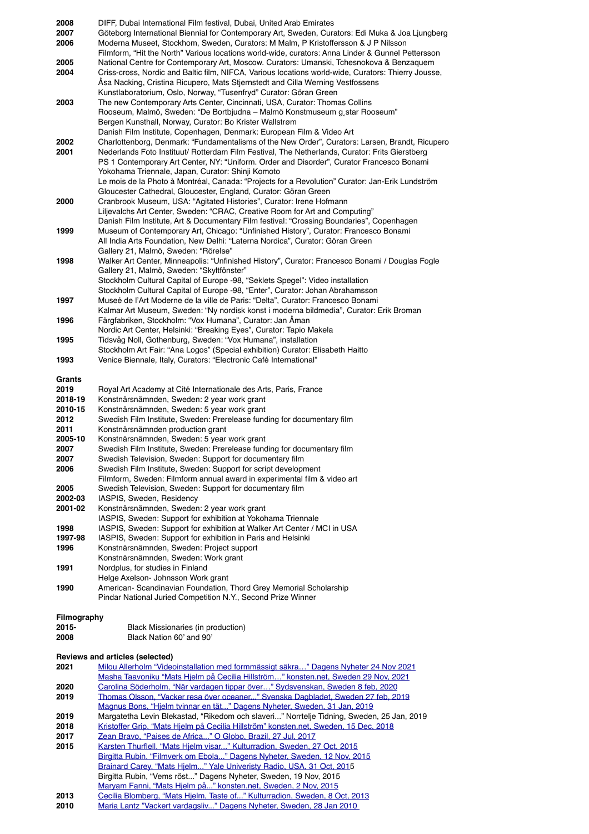| 2008                            | DIFF, Dubai International Film festival, Dubai, United Arab Emirates                                |  |
|---------------------------------|-----------------------------------------------------------------------------------------------------|--|
| 2007                            | Göteborg International Biennial for Contemporary Art, Sweden, Curators: Edi Muka & Joa Ljungberg    |  |
| 2006                            | Moderna Museet, Stockhom, Sweden, Curators: M Malm, P Kristoffersson & J P Nilsson                  |  |
|                                 |                                                                                                     |  |
|                                 | Filmform, "Hit the North" Various locations world-wide, curators: Anna Linder & Gunnel Pettersson   |  |
| 2005                            | National Centre for Contemporary Art, Moscow. Curators: Umanski, Tchesnokova & Benzaquem            |  |
| 2004                            | Criss-cross, Nordic and Baltic film, NIFCA, Various locations world-wide, Curators: Thierry Jousse, |  |
|                                 | Asa Nacking, Cristina Ricupero, Mats Stjernstedt and Cilla Werning Vestfossens                      |  |
|                                 |                                                                                                     |  |
|                                 | Kunstlaboratorium, Oslo, Norway, "Tusenfryd" Curator: Göran Green                                   |  |
| 2003                            | The new Contemporary Arts Center, Cincinnati, USA, Curator: Thomas Collins                          |  |
|                                 | Rooseum, Malmö, Sweden: "De Bortbjudna – Malmö Konstmuseum g, star Rooseum"                         |  |
|                                 | Bergen Kunsthall, Norway, Curator: Bo Krister Wallstrøm                                             |  |
|                                 | Danish Film Institute, Copenhagen, Denmark: European Film & Video Art                               |  |
| 2002                            | Charlottenborg, Denmark: "Fundamentalisms of the New Order", Curators: Larsen, Brandt, Ricupero     |  |
|                                 |                                                                                                     |  |
| 2001                            | Nederlands Foto Instituut/ Rotterdam Film Festival, The Netherlands, Curator: Frits Gierstberg      |  |
|                                 | PS 1 Contemporary Art Center, NY: "Uniform. Order and Disorder", Curator Francesco Bonami           |  |
|                                 | Yokohama Triennale, Japan, Curator: Shinji Komoto                                                   |  |
|                                 | Le mois de la Photo à Montréal, Canada: "Projects for a Revolution" Curator: Jan-Erik Lundström     |  |
|                                 |                                                                                                     |  |
|                                 | Gloucester Cathedral, Gloucester, England, Curator: Göran Green                                     |  |
| 2000                            | Cranbrook Museum, USA: "Agitated Histories", Curator: Irene Hofmann                                 |  |
|                                 | Liljevalchs Art Center, Sweden: "CRAC, Creative Room for Art and Computing"                         |  |
|                                 | Danish Film Institute, Art & Documentary Film festival: "Crossing Boundaries", Copenhagen           |  |
| 1999                            | Museum of Contemporary Art, Chicago: "Unfinished History", Curator: Francesco Bonami                |  |
|                                 |                                                                                                     |  |
|                                 | All India Arts Foundation, New Delhi: "Laterna Nordica", Curator: Göran Green                       |  |
|                                 | Gallery 21, Malmö, Sweden: "Rörelse"                                                                |  |
| 1998                            | Walker Art Center, Minneapolis: "Unfinished History", Curator: Francesco Bonami / Douglas Fogle     |  |
|                                 | Gallery 21, Malmö, Sweden: "Skyltfönster"                                                           |  |
|                                 | Stockholm Cultural Capital of Europe -98, "Seklets Spegel": Video installation                      |  |
|                                 |                                                                                                     |  |
|                                 | Stockholm Cultural Capital of Europe -98, "Enter", Curator: Johan Abrahamsson                       |  |
| 1997                            | Museé de l'Art Moderne de la ville de Paris: "Delta", Curator: Francesco Bonami                     |  |
|                                 | Kalmar Art Museum, Sweden: "Ny nordisk konst i moderna bildmedia", Curator: Erik Broman             |  |
| 1996                            | Färgfabriken, Stockholm: "Vox Humana", Curator: Jan Aman                                            |  |
|                                 | Nordic Art Center, Helsinki: "Breaking Eyes", Curator: Tapio Makela                                 |  |
| 1995                            | Tidsvåg Noll, Gothenburg, Sweden: "Vox Humana", installation                                        |  |
|                                 |                                                                                                     |  |
|                                 | Stockholm Art Fair: "Ana Logos" (Special exhibition) Curator: Elisabeth Haitto                      |  |
| 1993                            | Venice Biennale, Italy, Curators: "Electronic Café International"                                   |  |
|                                 |                                                                                                     |  |
| Grants                          |                                                                                                     |  |
| 2019                            | Royal Art Academy at Cité Internationale des Arts, Paris, France                                    |  |
| 2018-19                         | Konstnärsnämnden, Sweden: 2 year work grant                                                         |  |
|                                 |                                                                                                     |  |
| 2010-15                         | Konstnärsnämnden, Sweden: 5 year work grant                                                         |  |
| 2012                            | Swedish Film Institute, Sweden: Prerelease funding for documentary film                             |  |
| 2011                            | Konstnärsnämnden production grant                                                                   |  |
| 2005-10                         | Konstnärsnämnden, Sweden: 5 year work grant                                                         |  |
| 2007                            | Swedish Film Institute, Sweden: Prerelease funding for documentary film                             |  |
| 2007                            | Swedish Television, Sweden: Support for documentary film                                            |  |
| 2006                            | Swedish Film Institute, Sweden: Support for script development                                      |  |
|                                 |                                                                                                     |  |
|                                 | Filmform, Sweden: Filmform annual award in experimental film & video art                            |  |
| 2005                            | Swedish Television, Sweden: Support for documentary film                                            |  |
| 2002-03                         | IASPIS, Sweden, Residency                                                                           |  |
| 2001-02                         | Konstnärsnämnden, Sweden: 2 year work grant                                                         |  |
|                                 | IASPIS, Sweden: Support for exhibition at Yokohama Triennale                                        |  |
| 1998                            | IASPIS, Sweden: Support for exhibition at Walker Art Center / MCI in USA                            |  |
|                                 |                                                                                                     |  |
| 1997-98                         | IASPIS, Sweden: Support for exhibition in Paris and Helsinki                                        |  |
| 1996                            | Konstnärsnämnden, Sweden: Project support                                                           |  |
|                                 | Konstnärsnämnden, Sweden: Work grant                                                                |  |
| 1991                            | Nordplus, for studies in Finland                                                                    |  |
|                                 | Helge Axelson- Johnsson Work grant                                                                  |  |
| 1990                            |                                                                                                     |  |
|                                 | American- Scandinavian Foundation, Thord Grey Memorial Scholarship                                  |  |
|                                 | Pindar National Juried Competition N.Y., Second Prize Winner                                        |  |
|                                 |                                                                                                     |  |
| Filmography                     |                                                                                                     |  |
| 2015-                           | Black Missionaries (in production)                                                                  |  |
| 2008                            | Black Nation 60' and 90'                                                                            |  |
|                                 |                                                                                                     |  |
| Reviews and articles (selected) |                                                                                                     |  |
| 2021                            | Milou Allerholm "Videoinstallation med formmässigt säkra" Dagens Nyheter 24 Nov 2021                |  |
|                                 |                                                                                                     |  |
|                                 | Masha Taavoniku "Mats Hjelm på Cecilia Hillström" konsten.net, Sweden 29 Nov, 2021                  |  |
| 2020                            | Carolina Söderholm, "När vardagen tippar över" Sydsvenskan, Sweden 8 feb, 2020                      |  |
| 2019                            | Thomas Olsson, "Vacker resa över oceaner" Svenska Dagbladet, Sweden 27 feb, 2019                    |  |
|                                 | Magnus Bons, "Hjelm tvinnar en tät" Dagens Nyheter, Sweden, 31 Jan, 2019                            |  |
| 2019                            | Margatetha Levin Blekastad, "Rikedom och slaveri" Norrtelje Tidning, Sweden, 25 Jan, 2019           |  |
| 2018                            | Kristoffer Grip, "Mats Hjelm på Cecilia Hillström" konsten.net, Sweden, 15 Dec, 2018                |  |
|                                 |                                                                                                     |  |
| 2017                            | Zean Bravo, "Paises de Africa" O Globo, Brazil, 27 Jul, 2017                                        |  |
| 2015                            | Karsten Thurflell, "Mats Hjelm visar" Kulturradion, Sweden, 27 Oct, 2015                            |  |
|                                 | Birgitta Rubin, "Filmverk om Ebola" Dagens Nyheter, Sweden, 12 Nov, 2015                            |  |
|                                 | Brainard Carey, "Mats Hjelm" Yale Univeristy Radio, USA, 31 Oct, 2015                               |  |
|                                 | Birgitta Rubin, "Vems röst" Dagens Nyheter, Sweden, 19 Nov, 2015                                    |  |
|                                 | Maryam Fanni, "Mats Hjelm på" konsten.net, Sweden, 2 Nov, 2015                                      |  |
|                                 |                                                                                                     |  |
| 2013                            | Cecilia Blomberg, "Mats Hjelm, Taste of" Kulturradion, Sweden, 8 Oct, 2013                          |  |

**2010** [Maria Lantz "Vackert vardagsliv..." Dagens Nyheter, Sweden, 28 Jan 2010](https://www.dn.se/kultur-noje/konsertrecensioner/mats-hjelm-after-hours-i-sebs-fonster-1-trappa-upp-hamngatan-stockholm/)